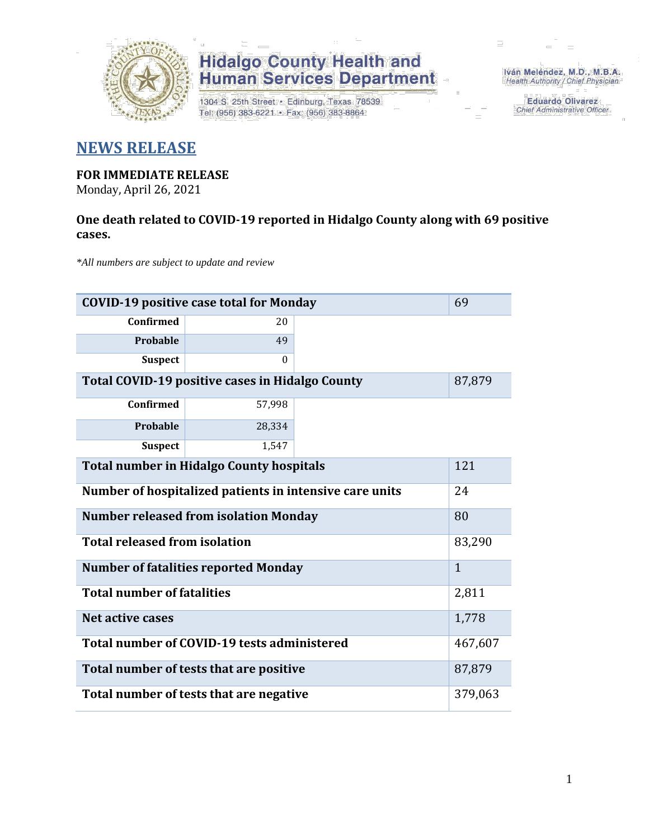

## **Hidalgo County Health and<br>Human Services Department**

1304 S. 25th Street · Edinburg, Texas 78539 Tel: (956) 383-6221 · Fax: (956) 383-8864

Iván Meléndez, M.D., M.B.A. Health Authority / Chief Physician

> **Eduardo Olivarez** Chief Administrative Officer

### **NEWS RELEASE**

### **FOR IMMEDIATE RELEASE**

Monday, April 26, 2021

#### **One death related to COVID-19 reported in Hidalgo County along with 69 positive cases.**

*\*All numbers are subject to update and review*

| 69<br><b>COVID-19 positive case total for Monday</b>    |          |  |  |  |  |
|---------------------------------------------------------|----------|--|--|--|--|
| <b>Confirmed</b>                                        | 20       |  |  |  |  |
| Probable                                                | 49       |  |  |  |  |
| <b>Suspect</b>                                          | $\theta$ |  |  |  |  |
| Total COVID-19 positive cases in Hidalgo County         |          |  |  |  |  |
| Confirmed                                               | 57,998   |  |  |  |  |
| Probable                                                | 28,334   |  |  |  |  |
| <b>Suspect</b>                                          | 1,547    |  |  |  |  |
| <b>Total number in Hidalgo County hospitals</b>         |          |  |  |  |  |
| Number of hospitalized patients in intensive care units |          |  |  |  |  |
| <b>Number released from isolation Monday</b><br>80      |          |  |  |  |  |
| <b>Total released from isolation</b>                    |          |  |  |  |  |
| <b>Number of fatalities reported Monday</b>             |          |  |  |  |  |
| <b>Total number of fatalities</b>                       |          |  |  |  |  |
| <b>Net active cases</b>                                 |          |  |  |  |  |
| Total number of COVID-19 tests administered             |          |  |  |  |  |
| Total number of tests that are positive                 |          |  |  |  |  |
| Total number of tests that are negative                 |          |  |  |  |  |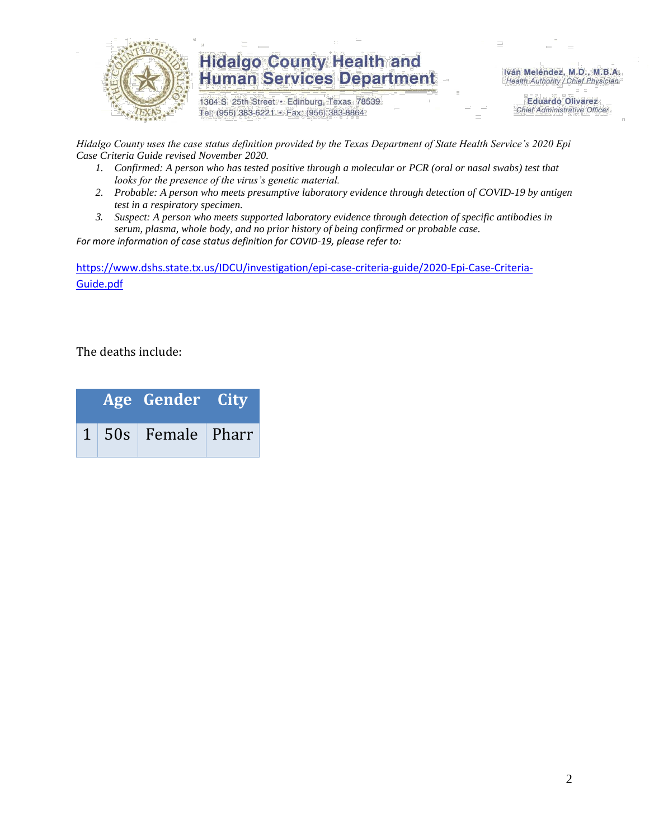

## **Hidalgo County Health and Human Services Department**

1304 S. 25th Street · Edinburg, Texas 78539 Tel: (956) 383-6221 · Fax: (956) 383-8864

Iván Meléndez, M.D., M.B.A. Health Authority / Chief Physician

> **Eduardo Olivarez Chief Administrative Officer**

*Hidalgo County uses the case status definition provided by the Texas Department of State Health Service's 2020 Epi Case Criteria Guide revised November 2020.*

- *1. Confirmed: A person who has tested positive through a molecular or PCR (oral or nasal swabs) test that looks for the presence of the virus's genetic material.*
- *2. Probable: A person who meets presumptive laboratory evidence through detection of COVID-19 by antigen test in a respiratory specimen.*
- *3. Suspect: A person who meets supported laboratory evidence through detection of specific antibodies in serum, plasma, whole body, and no prior history of being confirmed or probable case.*

*For more information of case status definition for COVID-19, please refer to:*

[https://www.dshs.state.tx.us/IDCU/investigation/epi-case-criteria-guide/2020-Epi-Case-Criteria-](https://www.dshs.state.tx.us/IDCU/investigation/epi-case-criteria-guide/2020-Epi-Case-Criteria-Guide.pdf)[Guide.pdf](https://www.dshs.state.tx.us/IDCU/investigation/epi-case-criteria-guide/2020-Epi-Case-Criteria-Guide.pdf)

The deaths include:

|  | Age Gender City                  |  |
|--|----------------------------------|--|
|  | $1 \mid 50s \mid$ Female   Pharr |  |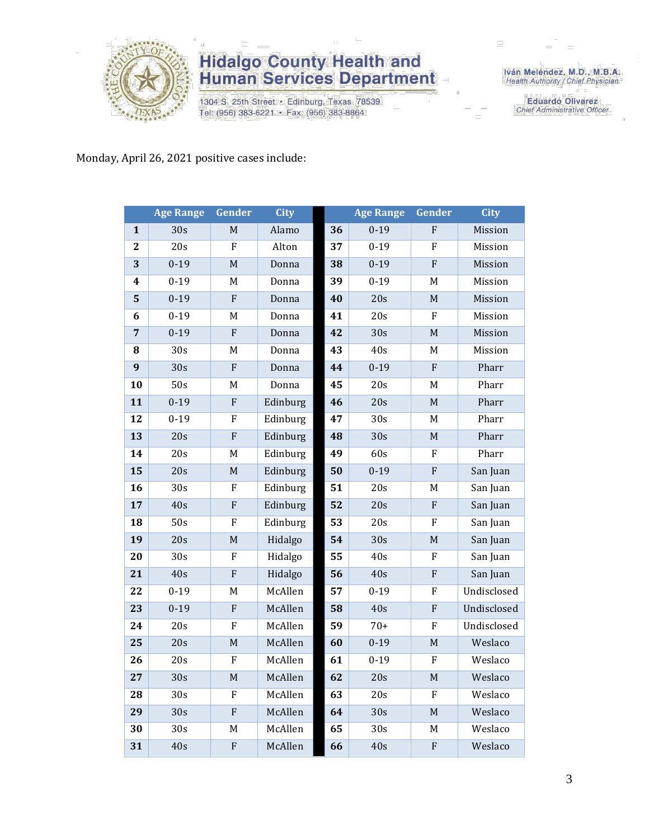

## **Hidalgo County Health and<br>Human Services Department**

1304 S. 25th Street · Edinburg, Texas 78539 Tel: (956) 383-6221 · Fax: (956) 383-8864

Iván Meléndez, M.D., M.B.A.<br>Health Authority / Chief Physician

**Eduardo Olivarez** Chief Administrative Officer

#### Monday, April 26, 2021 positive cases include:

|                | <b>Age Range</b> | Gender         | <b>City</b> |    | <b>Age Range</b> | Gender         | <b>City</b> |
|----------------|------------------|----------------|-------------|----|------------------|----------------|-------------|
| $\mathbf{1}$   | 30s              | $\mathbf M$    | Alamo       | 36 | $0 - 19$         | ${\bf F}$      | Mission     |
| $\overline{2}$ | 20s              | F              | Alton       | 37 | $0 - 19$         | F              | Mission     |
| 3              | $0 - 19$         | M              | Donna       | 38 | $0 - 19$         | ${\bf F}$      | Mission     |
| 4              | $0 - 19$         | M              | Donna       | 39 | $0 - 19$         | $\mathbf M$    | Mission     |
| 5              | $0 - 19$         | ${\bf F}$      | Donna       | 40 | 20s              | $\mathbf M$    | Mission     |
| 6              | $0 - 19$         | $\mathbf M$    | Donna       | 41 | 20s              | F              | Mission     |
| $\overline{7}$ | $0 - 19$         | F              | Donna       | 42 | $\overline{30s}$ | $\mathbf M$    | Mission     |
| 8              | 30s              | M              | Donna       | 43 | 40s              | $\mathbf M$    | Mission     |
| 9              | 30s              | F              | Donna       | 44 | $0 - 19$         | ${\bf F}$      | Pharr       |
| 10             | $\overline{50s}$ | M              | Donna       | 45 | 20s              | M              | Pharr       |
| 11             | $0 - 19$         | ${\bf F}$      | Edinburg    | 46 | 20s              | $\mathbf M$    | Pharr       |
| 12             | $0 - 19$         | F              | Edinburg    | 47 | 30s              | M              | Pharr       |
| 13             | 20s              | ${\rm F}$      | Edinburg    | 48 | 30s              | $\mathbf M$    | Pharr       |
| 14             | 20s              | $\mathbf M$    | Edinburg    | 49 | 60s              | ${\bf F}$      | Pharr       |
| 15             | 20s              | $\mathbf M$    | Edinburg    | 50 | $0 - 19$         | ${\bf F}$      | San Juan    |
| 16             | 30s              | ${\bf F}$      | Edinburg    | 51 | 20s              | M              | San Juan    |
| 17             | 40s              | ${\bf F}$      | Edinburg    | 52 | 20s              | ${\bf F}$      | San Juan    |
| 18             | 50s              | F              | Edinburg    | 53 | 20s              | F              | San Juan    |
| 19             | 20s              | $\mathbf M$    | Hidalgo     | 54 | 30s              | M              | San Juan    |
| 20             | 30s              | ${\bf F}$      | Hidalgo     | 55 | 40s              | ${\bf F}$      | San Juan    |
| 21             | 40s              | $\overline{F}$ | Hidalgo     | 56 | 40s              | ${\bf F}$      | San Juan    |
| 22             | $0 - 19$         | M              | McAllen     | 57 | $0 - 19$         | $\overline{F}$ | Undisclosed |
| 23             | $0 - 19$         | ${\bf F}$      | McAllen     | 58 | 40s              | ${\bf F}$      | Undisclosed |
| 24             | 20s              | F              | McAllen     | 59 | $70+$            | ${\bf F}$      | Undisclosed |
| 25             | 20s              | $\mathbf M$    | McAllen     | 60 | $0 - 19$         | $\mathbf M$    | Weslaco     |
| 26             | 20s              | ${\bf F}$      | McAllen     | 61 | $0 - 19$         | ${\bf F}$      | Weslaco     |
| 27             | 30s              | $\mathbf M$    | McAllen     | 62 | 20s              | $\mathbf M$    | Weslaco     |
| 28             | 30s              | ${\bf F}$      | McAllen     | 63 | 20s              | ${\bf F}$      | Weslaco     |
| 29             | 30s              | $\overline{F}$ | McAllen     | 64 | 30s              | M              | Weslaco     |
| 30             | 30s              | M              | McAllen     | 65 | 30s              | M              | Weslaco     |
| 31             | 40s              | ${\bf F}$      | McAllen     | 66 | 40s              | ${\bf F}$      | Weslaco     |